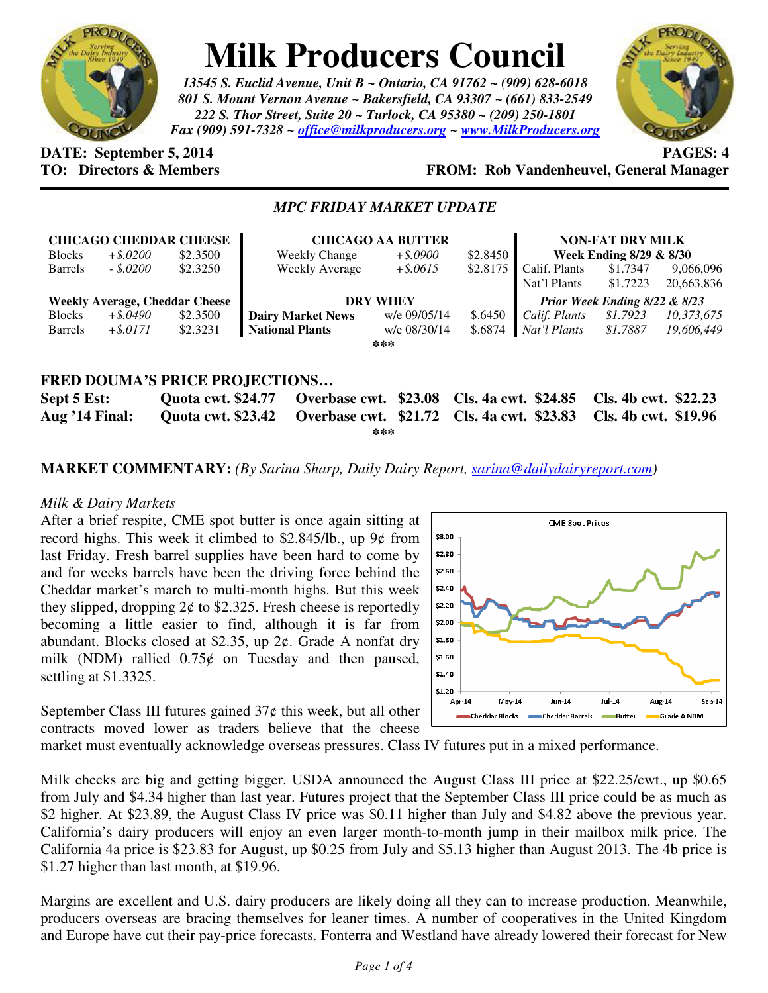

# **Milk Producers Council**

*13545 S. Euclid Avenue, Unit B ~ Ontario, CA 91762 ~ (909) 628-6018 801 S. Mount Vernon Avenue ~ Bakersfield, CA 93307 ~ (661) 833-2549 222 S. Thor Street, Suite 20 ~ Turlock, CA 95380 ~ (209) 250-1801 Fax (909) 591-7328 ~ office@milkproducers.org ~ www.MilkProducers.org*



# **DATE:** September 5, 2014 **PAGES:** 4

# **TO: Directors & Members FROM: Rob Vandenheuvel, General Manager**

## *MPC FRIDAY MARKET UPDATE*

| <b>CHICAGO CHEDDAR CHEESE</b><br><b>Blocks</b><br>\$2.3500<br>$+$ \$.0200 |             |          | <b>CHICAGO AA BUTTER</b><br>\$2.8450<br>$+$ \$.0900<br><b>Weekly Change</b> |              |          | <b>NON-FAT DRY MILK</b><br>Week Ending 8/29 & 8/30 |                      |                         |
|---------------------------------------------------------------------------|-------------|----------|-----------------------------------------------------------------------------|--------------|----------|----------------------------------------------------|----------------------|-------------------------|
| <b>Barrels</b>                                                            | $-.5.0200$  | \$2.3250 | <b>Weekly Average</b>                                                       | $+$ \$.0615  | \$2.8175 | Calif. Plants<br>Nat'l Plants                      | \$1.7347<br>\$1.7223 | 9,066,096<br>20,663,836 |
| <b>Weekly Average, Cheddar Cheese</b>                                     |             |          | <b>DRY WHEY</b>                                                             |              |          | Prior Week Ending 8/22 & 8/23                      |                      |                         |
| <b>Blocks</b>                                                             | $+$ \$.0490 | \$2.3500 | <b>Dairy Market News</b>                                                    | w/e 09/05/14 | \$.6450  | Calif. Plants                                      | \$1.7923             | 10,373,675              |
| <b>Barrels</b>                                                            | $+$ \$.0171 | \$2.3231 | <b>National Plants</b>                                                      | w/e 08/30/14 | \$.6874  | Nat'l Plants                                       | \$1.7887             | 19,606,449              |
| ***                                                                       |             |          |                                                                             |              |          |                                                    |                      |                         |
|                                                                           |             |          |                                                                             |              |          |                                                    |                      |                         |
| <b>FRED DOUMA'S PRICE PROJECTIONS</b>                                     |             |          |                                                                             |              |          |                                                    |                      |                         |

**Sept 5 Est: Quota cwt. \$24.77 Overbase cwt. \$23.08 Cls. 4a cwt. \$24.85 Cls. 4b cwt. \$22.23 Aug '14 Final: Quota cwt. \$23.42 Overbase cwt. \$21.72 Cls. 4a cwt. \$23.83 Cls. 4b cwt. \$19.96 \*\*\*** 

#### **MARKET COMMENTARY:** *(By Sarina Sharp, Daily Dairy Report, sarina@dailydairyreport.com)*

#### *Milk & Dairy Markets*

After a brief respite, CME spot butter is once again sitting at record highs. This week it climbed to  $$2.845/lb$ ., up  $9¢$  from last Friday. Fresh barrel supplies have been hard to come by and for weeks barrels have been the driving force behind the Cheddar market's march to multi-month highs. But this week they slipped, dropping  $2¢$  to \$2.325. Fresh cheese is reportedly becoming a little easier to find, although it is far from abundant. Blocks closed at \$2.35, up  $2¢$ . Grade A nonfat dry milk (NDM) rallied  $0.75¢$  on Tuesday and then paused, settling at \$1.3325.

September Class III futures gained  $37¢$  this week, but all other contracts moved lower as traders believe that the cheese



market must eventually acknowledge overseas pressures. Class IV futures put in a mixed performance.

Milk checks are big and getting bigger. USDA announced the August Class III price at \$22.25/cwt., up \$0.65 from July and \$4.34 higher than last year. Futures project that the September Class III price could be as much as \$2 higher. At \$23.89, the August Class IV price was \$0.11 higher than July and \$4.82 above the previous year. California's dairy producers will enjoy an even larger month-to-month jump in their mailbox milk price. The California 4a price is \$23.83 for August, up \$0.25 from July and \$5.13 higher than August 2013. The 4b price is \$1.27 higher than last month, at \$19.96.

Margins are excellent and U.S. dairy producers are likely doing all they can to increase production. Meanwhile, producers overseas are bracing themselves for leaner times. A number of cooperatives in the United Kingdom and Europe have cut their pay-price forecasts. Fonterra and Westland have already lowered their forecast for New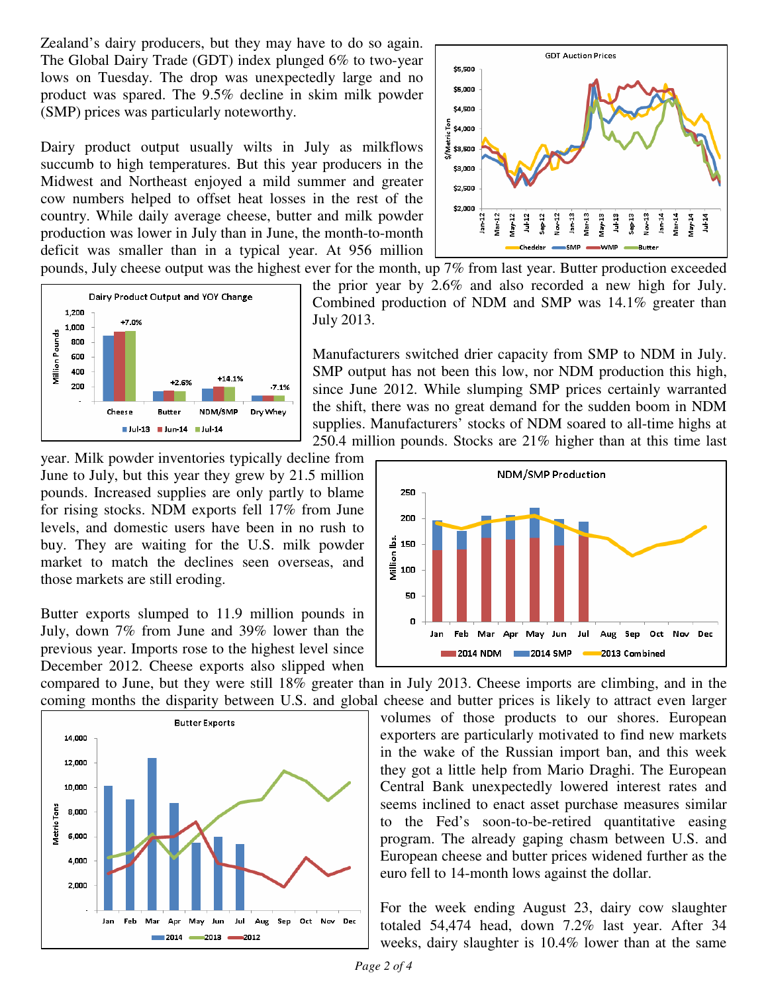Zealand's dairy producers, but they may have to do so again. The Global Dairy Trade (GDT) index plunged 6% to two-year lows on Tuesday. The drop was unexpectedly large and no product was spared. The 9.5% decline in skim milk powder (SMP) prices was particularly noteworthy.

Dairy product output usually wilts in July as milkflows succumb to high temperatures. But this year producers in the Midwest and Northeast enjoyed a mild summer and greater cow numbers helped to offset heat losses in the rest of the country. While daily average cheese, butter and milk powder production was lower in July than in June, the month-to-month deficit was smaller than in a typical year. At 956 million



 $M<sub>12</sub>$ Nov-12 Jan-13 Mar-13 May-13 Jul-13 Sep-13 Nov-13 Jan-14 Jan-12  $Var12$ Jul-12 Sep-12 Mar-14  $10 - 14$ pounds, July cheese output was the highest ever for the month, up 7% from last year. Butter production exceeded the prior year by 2.6% and also recorded a new high for July. Combined production of NDM and SMP was 14.1% greater than

> Manufacturers switched drier capacity from SMP to NDM in July. SMP output has not been this low, nor NDM production this high, since June 2012. While slumping SMP prices certainly warranted the shift, there was no great demand for the sudden boom in NDM supplies. Manufacturers' stocks of NDM soared to all-time highs at 250.4 million pounds. Stocks are 21% higher than at this time last

year. Milk powder inventories typically decline from June to July, but this year they grew by 21.5 million pounds. Increased supplies are only partly to blame for rising stocks. NDM exports fell 17% from June levels, and domestic users have been in no rush to buy. They are waiting for the U.S. milk powder market to match the declines seen overseas, and those markets are still eroding.

Butter exports slumped to 11.9 million pounds in July, down 7% from June and 39% lower than the previous year. Imports rose to the highest level since December 2012. Cheese exports also slipped when

compared to June, but they were still 18% greater than in July 2013. Cheese imports are climbing, and in the coming months the disparity between U.S. and global cheese and butter prices is likely to attract even larger

July 2013.





volumes of those products to our shores. European exporters are particularly motivated to find new markets in the wake of the Russian import ban, and this week they got a little help from Mario Draghi. The European Central Bank unexpectedly lowered interest rates and seems inclined to enact asset purchase measures similar to the Fed's soon-to-be-retired quantitative easing program. The already gaping chasm between U.S. and European cheese and butter prices widened further as the euro fell to 14-month lows against the dollar.

For the week ending August 23, dairy cow slaughter totaled 54,474 head, down 7.2% last year. After 34 weeks, dairy slaughter is 10.4% lower than at the same

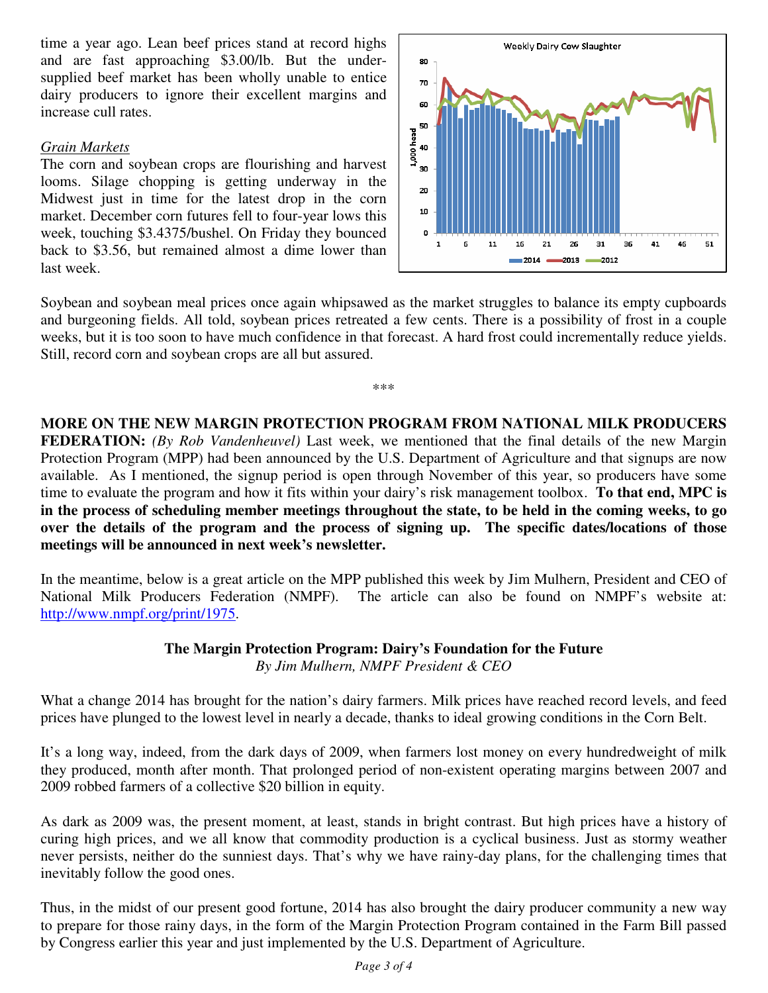time a year ago. Lean beef prices stand at record highs and are fast approaching \$3.00/lb. But the undersupplied beef market has been wholly unable to entice dairy producers to ignore their excellent margins and increase cull rates.

#### *Grain Markets*

The corn and soybean crops are flourishing and harvest looms. Silage chopping is getting underway in the Midwest just in time for the latest drop in the corn market. December corn futures fell to four-year lows this week, touching \$3.4375/bushel. On Friday they bounced back to \$3.56, but remained almost a dime lower than last week.



Soybean and soybean meal prices once again whipsawed as the market struggles to balance its empty cupboards and burgeoning fields. All told, soybean prices retreated a few cents. There is a possibility of frost in a couple weeks, but it is too soon to have much confidence in that forecast. A hard frost could incrementally reduce yields. Still, record corn and soybean crops are all but assured.

\*\*\*

**MORE ON THE NEW MARGIN PROTECTION PROGRAM FROM NATIONAL MILK PRODUCERS FEDERATION:** *(By Rob Vandenheuvel)* Last week, we mentioned that the final details of the new Margin Protection Program (MPP) had been announced by the U.S. Department of Agriculture and that signups are now available. As I mentioned, the signup period is open through November of this year, so producers have some time to evaluate the program and how it fits within your dairy's risk management toolbox. **To that end, MPC is in the process of scheduling member meetings throughout the state, to be held in the coming weeks, to go over the details of the program and the process of signing up. The specific dates/locations of those meetings will be announced in next week's newsletter.** 

In the meantime, below is a great article on the MPP published this week by Jim Mulhern, President and CEO of National Milk Producers Federation (NMPF). The article can also be found on NMPF's website at: http://www.nmpf.org/print/1975.

### **The Margin Protection Program: Dairy's Foundation for the Future**  *By Jim Mulhern, NMPF President & CEO*

What a change 2014 has brought for the nation's dairy farmers. Milk prices have reached record levels, and feed prices have plunged to the lowest level in nearly a decade, thanks to ideal growing conditions in the Corn Belt.

It's a long way, indeed, from the dark days of 2009, when farmers lost money on every hundredweight of milk they produced, month after month. That prolonged period of non-existent operating margins between 2007 and 2009 robbed farmers of a collective \$20 billion in equity.

As dark as 2009 was, the present moment, at least, stands in bright contrast. But high prices have a history of curing high prices, and we all know that commodity production is a cyclical business. Just as stormy weather never persists, neither do the sunniest days. That's why we have rainy-day plans, for the challenging times that inevitably follow the good ones.

Thus, in the midst of our present good fortune, 2014 has also brought the dairy producer community a new way to prepare for those rainy days, in the form of the Margin Protection Program contained in the Farm Bill passed by Congress earlier this year and just implemented by the U.S. Department of Agriculture.